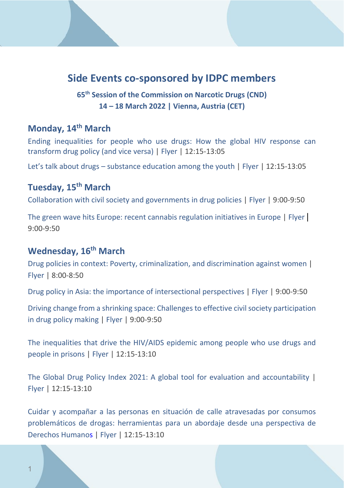## **Side Events co-sponsored by IDPC members**

**65th Session of the Commission on Narcotic Drugs (CND) 14 – 18 March 2022 | Vienna, Austria (CET)**

#### **Monday, 14th March**

[Ending inequalities for people who use drugs: How the global HIV response can](https://us06web.zoom.us/webinar/register/WN_UDZ969bIS9qnZxAEHor84w)  [transform drug policy \(and vice versa\)](https://us06web.zoom.us/webinar/register/WN_UDZ969bIS9qnZxAEHor84w) [| Flyer](https://www.unodc.org/res/commissions/CND/session/65_Session_2022/mon_14_march_side-event_html/Ending_Inequalities_for_People_who_Use_Drugs_65CND.png) | 12:15-13:05

Let's talk about drugs – [substance education among the youth](https://us02web.zoom.us/meeting/register/tZEucOCgrDMiHdBzyKaHChtfUoHJNlLIELvE) | [Flyer](https://www.unodc.org/res/commissions/CND/session/65_Session_2022/mon_14_march_side-event_html/Leaflet.jpg) | 12:15-13:05

## **Tuesday, 15th March**

[Collaboration with civil society and governments in drug policies](https://us02web.zoom.us/j/83851862474#success) | [Flyer](https://www.unodc.org/res/commissions/CND/session/65_Session_2022/tue_15_march_side-event_html/LT_side_event.jpg) | 9:00-9:50

[The green wave hits Europe: recent cannabis regulation initiatives in Europe](https://us02web.zoom.us/webinar/register/3116461480160/WN_nAcuLy7gQliP3Hn8Rb4WQQ) | [Flyer](https://www.unodc.org/res/commissions/CND/session/65_Session_2022/tue_15_march_side-event_html/Green_waves_final.pdf) | 9:00-9:50

#### **Wednesday, 16th March**

[Drug policies in context: Poverty, criminalization, and discrimination against women](https://fb.me/e/3zNTq9xpb) | [Flyer](https://www.unodc.org/res/commissions/CND/session/65_Session_2022/wed_16_march_side_event_html/Flyer_Equis_Justicia.png) | 8:00-8:50

[Drug policy in Asia: the importance of intersectional perspectives](https://us02web.zoom.us/webinar/register/WN_pRT5rf3gQmuPLd7P6zWKRw) [| Flyer](https://www.unodc.org/res/commissions/CND/session/65_Session_2022/wed_16_march_side_event_html/CND65_Side_Event_-_Drug_policy_in_Asia.pdf.png) | 9:00-9:50

[Driving change from a shrinking space: Challenges to effective civil society participation](https://us02web.zoom.us/webinar/register/WN_9xa_F4P0Td-rZsQWlsVvqw)  [in drug policy making](https://us02web.zoom.us/webinar/register/WN_9xa_F4P0Td-rZsQWlsVvqw) [| Flyer](https://www.unodc.org/res/commissions/CND/session/65_Session_2022/wed_16_march_side_event_html/flyer_Fedito_Bxl_-_CSFD_side_event.jpg) | 9:00-9:50

[The inequalities that drive the HIV/AIDS epidemic among people who use drugs and](https://teams.microsoft.com/dl/launcher/launcher.html?url=%2F_%23%2Fl%2Fmeetup-join%2F19%3Ameeting_Y2ZlZjU3NDMtY2Y2ZC00ZjU0LWEyMGItNDA3ZjdhYzBlYjA0%40thread.v2%2F0%3Fcontext%3D%257b%2522Tid%2522%253a%25220f9e35db-544f-4f60-bdcc-5ea416e6dc70%2522%252c%2522Oid%2522%253a%2522c9560d71-42b9-4e7c-a48e-341c7db8c54d%2522%257d%26anon%3Dtrue&type=meetup-join&deeplinkId=771634a5-63e7-462d-b240-5268e2677aa3&directDl=true&msLaunch=true&enableMobilePage=true&suppressPrompt=true)  [people in prisons](https://teams.microsoft.com/dl/launcher/launcher.html?url=%2F_%23%2Fl%2Fmeetup-join%2F19%3Ameeting_Y2ZlZjU3NDMtY2Y2ZC00ZjU0LWEyMGItNDA3ZjdhYzBlYjA0%40thread.v2%2F0%3Fcontext%3D%257b%2522Tid%2522%253a%25220f9e35db-544f-4f60-bdcc-5ea416e6dc70%2522%252c%2522Oid%2522%253a%2522c9560d71-42b9-4e7c-a48e-341c7db8c54d%2522%257d%26anon%3Dtrue&type=meetup-join&deeplinkId=771634a5-63e7-462d-b240-5268e2677aa3&directDl=true&msLaunch=true&enableMobilePage=true&suppressPrompt=true) [| Flyer](https://www.unodc.org/res/commissions/CND/session/65_Session_2022/wed_16_march_side_event_html/CND_2022_flyer.pdf) | 12:15-13:10

[The Global Drug Policy Index 2021: A global tool for evaluation and accountability](https://us02web.zoom.us/webinar/register/WN_btaisQ7gRKO1yiP6Rh1zVw) | [Flyer](https://www.unodc.org/res/commissions/CND/session/65_Session_2022/wed_16_march_side_event_html/GDPI.pdf) | 12:15-13:10

[Cuidar y acompañar a las personas en situación de calle atravesadas por consumos](https://jefatura.webex.com/jefatura-sp/j.php?MTID=m6232a30e9079db362f82a4378e9543c5)  [problemáticos de drogas: herramientas para un abordaje desde una perspectiva de](https://jefatura.webex.com/jefatura-sp/j.php?MTID=m6232a30e9079db362f82a4378e9543c5)  [Derechos Humanos](https://jefatura.webex.com/jefatura-sp/j.php?MTID=m6232a30e9079db362f82a4378e9543c5) [| Flyer](https://www.unodc.org/res/commissions/CND/session/65_Session_2022/wed_16_march_side_event_html/diseno_flyer_-_Nuevo.pdf) | 12:15-13:10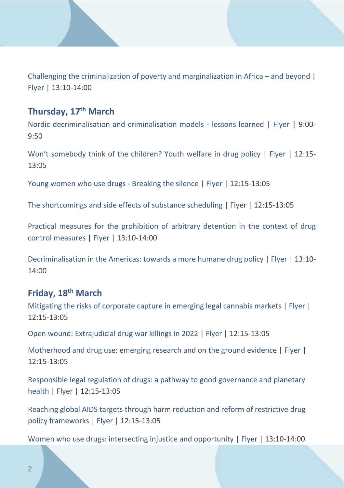[Challenging the criminalization of poverty and marginalization in Africa –](https://us02web.zoom.us/webinar/register/WN_XGWnaTMiSHePrpghVpCc5w) and beyond | [Flyer](https://www.unodc.org/res/commissions/CND/session/65_Session_2022/wed_16_march_side_event_html/Criminalisation_Poverty.pdf) | 13:10-14:00

#### **Thursday, 17th March**

[Nordic decriminalisation and criminalisation models -](https://us02web.zoom.us/webinar/register/WN_loUoWFyCRMmCV82B0lj7gg) lessons learned | [Flyer](https://www.unodc.org/res/commissions/CND/session/65_Session_2022/thur_17_march_side_event_html/Nordic_Flyer_final_CND.pdf) | 9:00- 9:50

[Won't somebody think of the children? Youth welfare in drug policy](https://us06web.zoom.us/webinar/register/WN_FBpInD1cTfWCc5Mh2o9B9A) | [Flyer](https://www.unodc.org/res/commissions/CND/session/65_Session_2022/thur_17_march_side_event_html/Children_Youth_Welfare_in_Drug_Policy.pdf) | 12:15-13:05

[Young women who use drugs -](https://us02web.zoom.us/j/88254501134) Breaking the silence [| Flyer](https://fileserver.idpc.net/events/CND%20Side%20Event-YoungWomenWhoUseDrugs.pdf) | 12:15-13:05

[The shortcomings and side effects of substance scheduling](https://us02web.zoom.us/webinar/register/WN_6is899ijQvuscTxQt7vGKw) | [Flyer](https://www.unodc.org/res/commissions/CND/session/65_Session_2022/thur_17_march_side_event_html/Scheduling-cnd65-flyer-sans-names.pdf) | 12:15-13:05

[Practical measures for the prohibition of arbitrary detention in the context of drug](https://us02web.zoom.us/webinar/register/WN_lRtSoqhyRSqq7M0SfYgEGg)  [control measures](https://us02web.zoom.us/webinar/register/WN_lRtSoqhyRSqq7M0SfYgEGg) | [Flyer](https://www.unodc.org/res/commissions/CND/session/65_Session_2022/thur_17_march_side_event_html/Arbitrary-Detention-SideEvent-Flyer_003.pdf) | 13:10-14:00

[Decriminalisation in the Americas: towards a more humane drug policy](https://us06web.zoom.us/meeting/register/tZcvdeCrqz8jH9w6U2btSPjjIGotokcXf3Ib) [| Flyer](https://www.unodc.org/res/commissions/CND/session/65_Session_2022/thur_17_march_side_event_html/65_CND_flyer.jpg) | 13:10- 14:00

# **Friday, 18th March**

[Mitigating the risks of corporate capture in emerging legal cannabis markets](https://teams.microsoft.com/registration/6jWzJLkY0UO-K48M2LKjhQ,psPj_XBa3kmNRTRCVFCn7w,ymhdq3a17E2depmgFu9fjw,oqyiUueZVUecfVXJvQZIZQ,Vuh-Xa-gWUqumYO7apIRvQ,t9WBSSu-lU-cGKvrri-Dlw?mode=read&tenantId=24b335ea-18b9-43d1-be2b-8f0cd8b2a385) [| Flyer](https://www.unodc.org/res/commissions/CND/session/65_Session_2022/fri_18_march_side-event_html/cnd_webinar_flyer_flyer_landscape_1_.png) | 12:15-13:05

[Open wound: Extrajudicial drug war killings in 2022](https://teams.microsoft.com/registration/6jWzJLkY0UO-K48M2LKjhQ,psPj_XBa3kmNRTRCVFCn7w,ymhdq3a17E2depmgFu9fjw,oqyiUueZVUecfVXJvQZIZQ,Vuh-Xa-gWUqumYO7apIRvQ,t9WBSSu-lU-cGKvrri-Dlw?mode=read&tenantId=24b335ea-18b9-43d1-be2b-8f0cd8b2a385) | [Flyer](https://www.unodc.org/res/commissions/CND/session/65_Session_2022/fri_18_march_side-event_html/announcement-flyer-v2.pdf) | 12:15-13:05

[Motherhood and drug use: emerging research and on the ground evidence](https://us02web.zoom.us/meeting/register/tZAqf-irqDMuHdyJbl8RHjSgkNnqBG4lDycf) | [Flyer](https://www.unodc.org/res/commissions/CND/session/65_Session_2022/fri_18_march_side-event_html/CND2022_ATS_RIA_side_event.jpeg) | 12:15-13:05

[Responsible legal regulation of drugs: a pathway to](https://us02web.zoom.us/webinar/register/WN_aX-1Ph55QaWwCrYjfeWzfQ) good governance and planetary [health](https://us02web.zoom.us/webinar/register/WN_aX-1Ph55QaWwCrYjfeWzfQ) | [Flyer](https://www.unodc.org/res/commissions/CND/session/65_Session_2022/fri_18_march_side-event_html/Health_Poverty_Action_CND_SIDE_EVENT_2022_v2.pdf) | 12:15-13:05

[Reaching global AIDS targets through harm reduction and](https://unaids.zoom.us/meeting/register/tZMpdOmrqDouGdbQZu9w0UDjAlB7Mq6l1G7I) reform of restrictive drug policy [frameworks](https://unaids.zoom.us/meeting/register/tZMpdOmrqDouGdbQZu9w0UDjAlB7Mq6l1G7I) | [Flyer](https://fileserver.idpc.net/events/Reaching-Global-AIDS-Targets.pdf) | 12:15-13:05

[Women who use drugs: intersecting injustice and opportunity](https://us02web.zoom.us/webinar/register/WN_sM1BcnysTxaVxmslcl-jvA) [| Flyer](https://www.unodc.org/res/commissions/CND/session/65_Session_2022/fri_18_march_side-event_html/CND_side_event_flyer_un_women.pdf) | 13:10-14:00